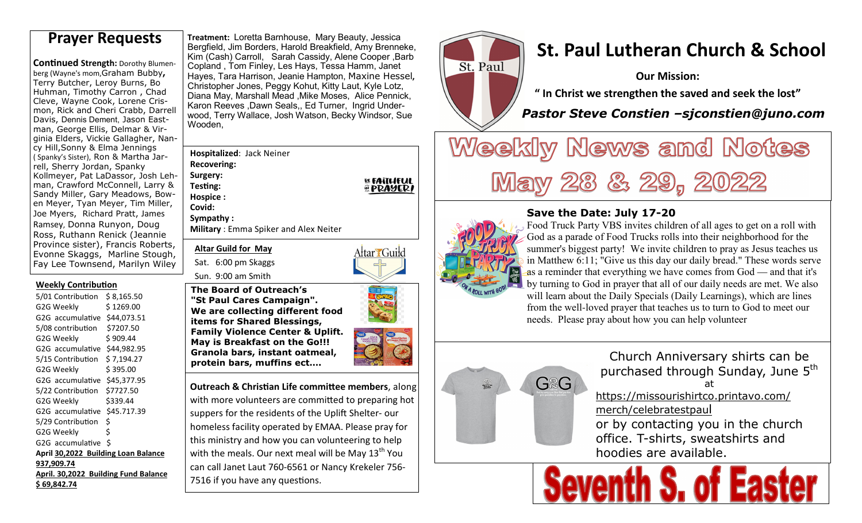**Continued Strength: Dorothy Blumen**berg (Wayne's mom,Graham Bubby**,** Terry Butcher, Leroy Burns, Bo Huhman, Timothy Carron , Chad Cleve, Wayne Cook, Lorene Crismon, Rick and Cheri Crabb, Darrell Davis, Dennis Dement, Jason Eastman, George Ellis, Delmar & Virginia Elders, Vickie Gallagher, Nancy Hill,Sonny & Elma Jennings ( Spanky's Sister), Ron & Martha Jarrell, Sherry Jordan, Spanky Kollmeyer, Pat LaDassor, Josh Lehman, Crawford McConnell, Larry & Sandy Miller, Gary Meadows, Bowen Meyer, Tyan Meyer, Tim Miller, Joe Myers, Richard Pratt, James Ramsey, Donna Runyon, Doug Ross, Ruthann Renick (Jeannie Province sister), Francis Roberts, Evonne Skaggs, Marline Stough, Fay Lee Townsend, Marilyn Wiley

#### **Weekly Contribution**

| 5/01 Contribution                    | \$8,165.50 |  |  |
|--------------------------------------|------------|--|--|
| G2G Weekly                           | \$1269.00  |  |  |
| G2G accumulative \$44,073.51         |            |  |  |
| 5/08 contribution                    | \$7207.50  |  |  |
| G2G Weekly                           | \$909.44   |  |  |
| G2G accumulative \$44,982.95         |            |  |  |
| 5/15 Contribution                    | \$7,194.27 |  |  |
| G2G Weekly                           | \$395.00   |  |  |
| G2G accumulative \$45,377.95         |            |  |  |
| 5/22 Contribution                    | \$7727.50  |  |  |
| G2G Weekly                           | \$339.44   |  |  |
| G2G accumulative \$45.717.39         |            |  |  |
| 5/29 Contribution                    | \$         |  |  |
| G2G Weekly                           | \$         |  |  |
| G2G accumulative                     | -S         |  |  |
| April 30,2022 Building Loan Balance  |            |  |  |
| 937,909.74                           |            |  |  |
| April. 30,2022 Building Fund Balance |            |  |  |
| \$69,842.74                          |            |  |  |

**Treatment:** Loretta Barnhouse, Mary Beauty, Jessica Bergfield, Jim Borders, Harold Breakfield, Amy Brenneke, Kim (Cash) Carroll, Sarah Cassidy, Alene Cooper , Barb Copland , Tom Finley, Les Hays, Tessa Hamm, Janet Hayes, Tara Harrison, Jeanie Hampton, Maxine Hessel**,** Christopher Jones, Peggy Kohut, Kitty Laut, Kyle Lotz, Diana May, Marshall Mead ,Mike Moses, Alice Pennick, Karon Reeves ,Dawn Seals,, Ed Turner, Ingrid Underwood, Terry Wallace, Josh Watson, Becky Windsor, Sue Wooden, **Prayer Requests Preatment: Loretta Barnhouse, Mary Beauty, Jessica**<br>Bergfield, Jim Borders, Harold Breakfield, Amy Brenneke, **St. Paul Lutheran Church & School** 

> **Hospitalized**: Jack Neiner **Recovering: Surgery: Testing: Hospice : Covid: Sympathy :**

**Military** : Emma Spiker and Alex Neiter

**Altar Guild for May** 

Sat. 6:00 pm Skaggs Sun. 9:00 am Smith

**The Board of Outreach's "St Paul Cares Campaign". We are collecting different food items for Shared Blessings, Family Violence Center & Uplift. May is Breakfast on the Go!!! Granola bars, instant oatmeal, protein bars, muffins ect….**



Attar Guild

**EL FAITHFUL<br>AL PRAYER!** 

**Outreach & Christian Life committee members**, along with more volunteers are committed to preparing hot suppers for the residents of the Uplift Shelter- our homeless facility operated by EMAA. Please pray forthis ministry and how you can volunteering to help with the meals. Our next meal will be May  $13<sup>th</sup>$  You can call Janet Laut 760-6561 or Nancy Krekeler 756-7516 if you have any questions.



**Our Mission:** 

**" In Christ we strengthen the saved and seek the lost"** 

 *Pastor Steve Constien –sjconstien@juno.com* 

# Weekly News and Notes May 28 & 29, 2022



#### **Save the Date: July 17-20**

 Food Truck Party VBS invites children of all ages to get on a roll with God as a parade of Food Trucks rolls into their neighborhood for the summer's biggest party! We invite children to pray as Jesus teaches us in Matthew 6:11; "Give us this day our daily bread." These words serve as a reminder that everything we have comes from God — and that it's by turning to God in prayer that all of our daily needs are met. We also will learn about the Daily Specials (Daily Learnings), which are lines from the well-loved prayer that teaches us to turn to God to meet our needs. Please pray about how you can help volunteer